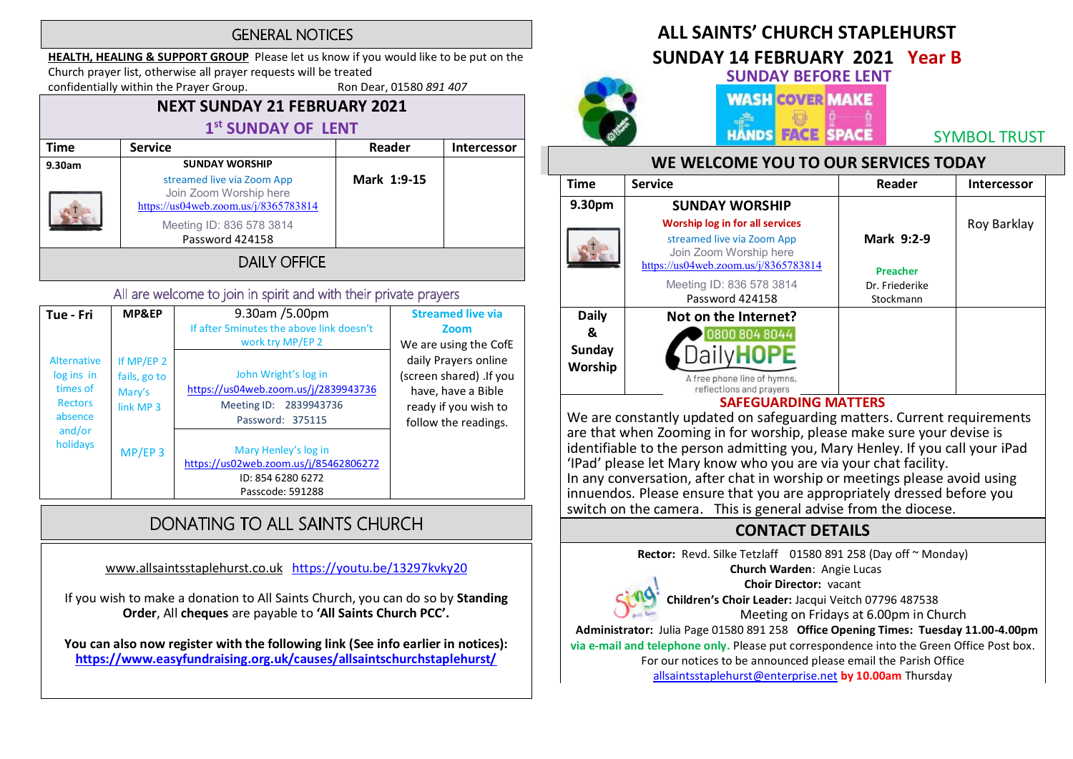#### **GENERAL NOTICES**

HEALTH, HEALING & SUPPORT GROUP Please let us know if you would like to be put on the Church prayer list, otherwise all prayer requests will be treated

confidentially within the Prayer Group. Ron Dear, 01580 891 407

# NEXT SUNDAY 21 FEBRUARY 2021

# 1<sup>st</sup> SUNDAY OF LENT

| <b>Time</b> | <b>Service</b>                                                                                                                              | Reader      | Intercessor |
|-------------|---------------------------------------------------------------------------------------------------------------------------------------------|-------------|-------------|
| 9.30am      | <b>SUNDAY WORSHIP</b>                                                                                                                       |             |             |
|             | streamed live via Zoom App<br>Join Zoom Worship here<br>https://us04web.zoom.us/j/8365783814<br>Meeting ID: 836 578 3814<br>Password 424158 | Mark 1:9-15 |             |
|             | <b>DAILY OFFICE</b>                                                                                                                         |             |             |

#### All are welcome to join in spirit and with their private prayers

| Tue - Fri                                                                                | MP&EP                                                        | $9.30$ am /5.00pm<br>If after 5 minutes the above link doesn't<br>work try MP/EP 2                         | <b>Streamed live via</b><br>Zoom<br>We are using the CofE                                                             |
|------------------------------------------------------------------------------------------|--------------------------------------------------------------|------------------------------------------------------------------------------------------------------------|-----------------------------------------------------------------------------------------------------------------------|
| Alternative<br>log ins in<br>times of<br><b>Rectors</b><br>absence<br>and/or<br>holidays | If MP/EP 2<br>fails, go to<br>Mary's<br>link MP <sub>3</sub> | John Wright's log in<br>https://us04web.zoom.us/j/2839943736<br>Meeting ID: 2839943736<br>Password: 375115 | daily Prayers online<br>(screen shared) .If you<br>have, have a Bible<br>ready if you wish to<br>follow the readings. |
|                                                                                          | $MP/EP$ 3                                                    | Mary Henley's log in<br>https://us02web.zoom.us/j/85462806272<br>ID: 854 6280 6272<br>Passcode: 591288     |                                                                                                                       |

# DONATING TO ALL SAINTS CHURCH

www.allsaintsstaplehurst.co.uk https://youtu.be/13297kvky20

If you wish to make a donation to All Saints Church, you can do so by Standing Order, All cheques are payable to 'All Saints Church PCC'.

You can also now register with the following link (See info earlier in notices): https://www.easyfundraising.org.uk/causes/allsaintschurchstaplehurst/

# ALL SAINTS' CHURCH STAPI FHURST

# SUNDAY 14 FEBRUARY 2021 Year B



SUNDAY BEFORE LENT **WASH COVER MAKE** 

**HANDS FACE SPACE** 

SYMBOL TRUST

#### WE WELCOME YOU TO OUR SERVICES TODAY

| <b>Time</b>                                   | <b>Service</b>                                                                                                                         | Reader                        | Intercessor |
|-----------------------------------------------|----------------------------------------------------------------------------------------------------------------------------------------|-------------------------------|-------------|
| 9.30pm                                        | <b>SUNDAY WORSHIP</b>                                                                                                                  |                               |             |
|                                               | <b>Worship log in for all services</b><br>streamed live via Zoom App<br>Join Zoom Worship here<br>https://us04web.zoom.us/j/8365783814 | Mark 9:2-9<br><b>Preacher</b> | Roy Barklay |
|                                               | Meeting ID: 836 578 3814<br>Password 424158                                                                                            | Dr. Friederike<br>Stockmann   |             |
| <b>Daily</b><br>&<br><b>Sunday</b><br>Worship | Not on the Internet?<br>0800 804 8044                                                                                                  |                               |             |
|                                               | A free phone line of hymns,<br>reflections and prayers<br>CAPPALLADDINIA NAA                                                           | -----                         |             |

#### SAFEGUARDING MATTERS

We are constantly updated on safeguarding matters. Current requirements are that when Zooming in for worship, please make sure your devise is identifiable to the person admitting you, Mary Henley. If you call your iPad<br>'IPad' please let Mary know who you are via your chat facility. In any conversation, after chat in worship or meetings please avoid using innuendos. Please ensure that you are appropriately dressed before you switch on the camera. This is general advise from the diocese.

### CONTACT DETAILS

Rector: Revd. Silke Tetzlaff 01580 891 258 (Day off ~ Monday)

Church Warden: Angie Lucas



Choir Director: vacant Children's Choir Leader: Jacqui Veitch 07796 487538 Meeting on Fridays at 6.00pm in Church

 Administrator: Julia Page 01580 891 258 Office Opening Times: Tuesday 11.00-4.00pm via e-mail and telephone only. Please put correspondence into the Green Office Post box. For our notices to be announced please email the Parish Office

allsaintsstaplehurst@enterprise.net by 10.00am Thursday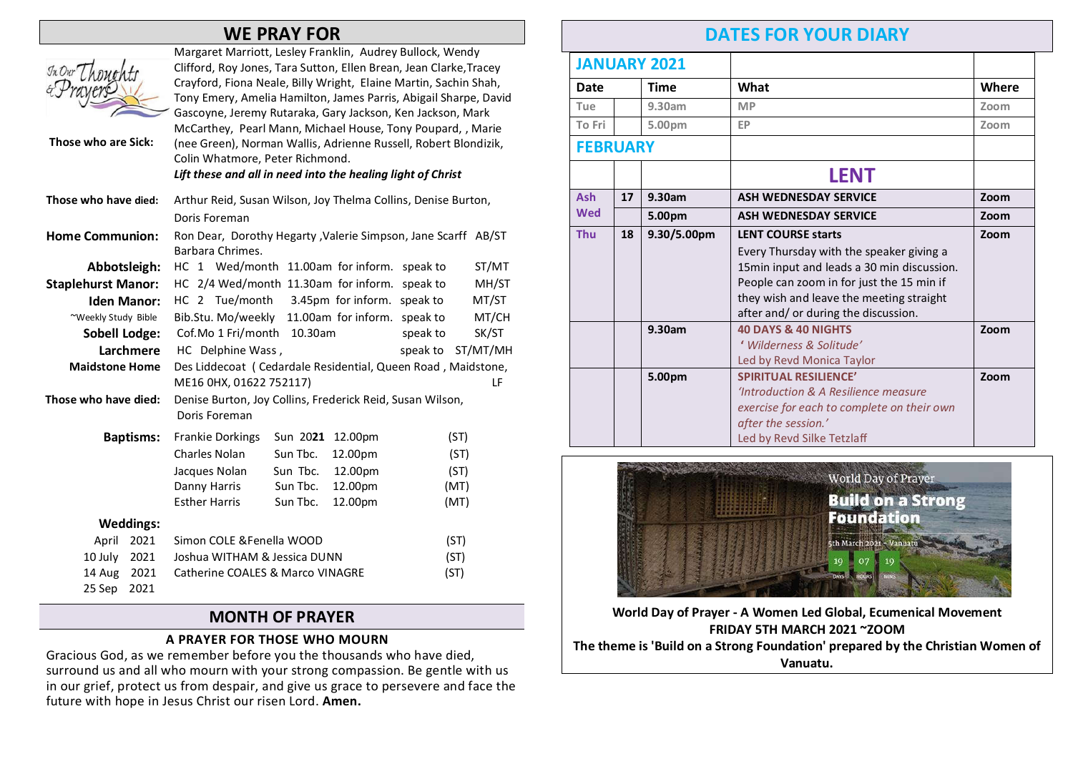## WE PRAY FOR

| In Our Thou<br>Those who are Sick: |                  | Margaret Marriott, Lesley Franklin, Audrey Bullock, Wendy<br>Clifford, Roy Jones, Tara Sutton, Ellen Brean, Jean Clarke, Tracey<br>Crayford, Fiona Neale, Billy Wright, Elaine Martin, Sachin Shah,<br>Tony Emery, Amelia Hamilton, James Parris, Abigail Sharpe, David<br>Gascoyne, Jeremy Rutaraka, Gary Jackson, Ken Jackson, Mark<br>McCarthey, Pearl Mann, Michael House, Tony Poupard, , Marie<br>(nee Green), Norman Wallis, Adrienne Russell, Robert Blondizik,<br>Colin Whatmore, Peter Richmond.<br>Lift these and all in need into the healing light of Christ |          |          |          |          |
|------------------------------------|------------------|---------------------------------------------------------------------------------------------------------------------------------------------------------------------------------------------------------------------------------------------------------------------------------------------------------------------------------------------------------------------------------------------------------------------------------------------------------------------------------------------------------------------------------------------------------------------------|----------|----------|----------|----------|
| Those who have died:               |                  | Arthur Reid, Susan Wilson, Joy Thelma Collins, Denise Burton,<br>Doris Foreman                                                                                                                                                                                                                                                                                                                                                                                                                                                                                            |          |          |          |          |
| <b>Home Communion:</b>             |                  | Ron Dear, Dorothy Hegarty , Valerie Simpson, Jane Scarff AB/ST<br>Barbara Chrimes.                                                                                                                                                                                                                                                                                                                                                                                                                                                                                        |          |          |          |          |
| Abbotsleigh:                       |                  | HC 1 Wed/month 11.00am for inform.                                                                                                                                                                                                                                                                                                                                                                                                                                                                                                                                        |          |          | speak to | ST/MT    |
| <b>Staplehurst Manor:</b>          |                  | HC 2/4 Wed/month 11.30am for inform. speak to                                                                                                                                                                                                                                                                                                                                                                                                                                                                                                                             |          |          |          | MH/ST    |
| <b>Iden Manor:</b>                 |                  | HC 2 Tue/month 3.45pm for inform. speak to                                                                                                                                                                                                                                                                                                                                                                                                                                                                                                                                |          |          |          | MT/ST    |
| ~Weekly Study Bible                |                  | Bib.Stu. Mo/weekly 11.00am for inform. speak to                                                                                                                                                                                                                                                                                                                                                                                                                                                                                                                           |          |          |          | MT/CH    |
| <b>Sobell Lodge:</b>               |                  | Cof.Mo 1 Fri/month<br>10.30am                                                                                                                                                                                                                                                                                                                                                                                                                                                                                                                                             |          | speak to | SK/ST    |          |
| Larchmere                          |                  | HC Delphine Wass,                                                                                                                                                                                                                                                                                                                                                                                                                                                                                                                                                         |          |          | speak to | ST/MT/MH |
| <b>Maidstone Home</b>              |                  | Des Liddecoat (Cedardale Residential, Queen Road, Maidstone,                                                                                                                                                                                                                                                                                                                                                                                                                                                                                                              |          |          |          |          |
|                                    |                  | ME16 0HX, 01622 752117)                                                                                                                                                                                                                                                                                                                                                                                                                                                                                                                                                   |          |          |          | LF       |
| Those who have died:               |                  | Denise Burton, Joy Collins, Frederick Reid, Susan Wilson,<br>Doris Foreman                                                                                                                                                                                                                                                                                                                                                                                                                                                                                                |          |          |          |          |
|                                    | <b>Baptisms:</b> | <b>Frankie Dorkings</b>                                                                                                                                                                                                                                                                                                                                                                                                                                                                                                                                                   | Sun 2021 | 12.00pm  | (ST)     |          |
|                                    |                  | Charles Nolan                                                                                                                                                                                                                                                                                                                                                                                                                                                                                                                                                             | Sun Tbc. | 12.00pm  | (ST)     |          |
|                                    |                  | Jacques Nolan                                                                                                                                                                                                                                                                                                                                                                                                                                                                                                                                                             | Sun Tbc. | 12.00pm  | (ST)     |          |
|                                    |                  | Danny Harris                                                                                                                                                                                                                                                                                                                                                                                                                                                                                                                                                              | Sun Tbc. | 12.00pm  | (MT)     |          |
|                                    |                  | <b>Esther Harris</b>                                                                                                                                                                                                                                                                                                                                                                                                                                                                                                                                                      | Sun Tbc. | 12.00pm  | (MT)     |          |
| <b>Weddings:</b>                   |                  |                                                                                                                                                                                                                                                                                                                                                                                                                                                                                                                                                                           |          |          |          |          |
| 2021<br>April                      |                  | Simon COLE & Fenella WOOD                                                                                                                                                                                                                                                                                                                                                                                                                                                                                                                                                 |          | (ST)     |          |          |
| 10 July                            | 2021             | Joshua WITHAM & Jessica DUNN                                                                                                                                                                                                                                                                                                                                                                                                                                                                                                                                              |          |          | (ST)     |          |
| 14 Aug                             | 2021             | <b>Catherine COALES &amp; Marco VINAGRE</b>                                                                                                                                                                                                                                                                                                                                                                                                                                                                                                                               |          |          | (ST)     |          |
| 25 Sep                             | 2021             |                                                                                                                                                                                                                                                                                                                                                                                                                                                                                                                                                                           |          |          |          |          |

#### MONTH OF PRAYER

#### A PRAYER FOR THOSE WHO MOURN

Gracious God, as we remember before you the thousands who have died, surround us and all who mourn with your strong compassion. Be gentle with us in our grief, protect us from despair, and give us grace to persevere and face the future with hope in Jesus Christ our risen Lord. Amen.

## DATES FOR YOUR DIARY

|                 |    | <b>JANUARY 2021</b> |                                            |       |
|-----------------|----|---------------------|--------------------------------------------|-------|
| Date            |    | Time                | What                                       | Where |
| Tue             |    | 9.30am              | <b>MP</b>                                  | Zoom  |
| To Fri          |    | 5.00pm              | EP                                         | Zoom  |
| <b>FEBRUARY</b> |    |                     |                                            |       |
|                 |    |                     | <b>LENT</b>                                |       |
| <b>Ash</b>      | 17 | 9.30am              | <b>ASH WEDNESDAY SERVICE</b>               | Zoom  |
| <b>Wed</b>      |    | 5.00pm              | <b>ASH WEDNESDAY SERVICE</b>               | Zoom  |
| <b>Thu</b>      | 18 | 9.30/5.00pm         | <b>LENT COURSE starts</b>                  | Zoom  |
|                 |    |                     | Every Thursday with the speaker giving a   |       |
|                 |    |                     | 15min input and leads a 30 min discussion. |       |
|                 |    |                     | People can zoom in for just the 15 min if  |       |
|                 |    |                     | they wish and leave the meeting straight   |       |
|                 |    |                     | after and/ or during the discussion.       |       |
|                 |    | 9.30am              | <b>40 DAYS &amp; 40 NIGHTS</b>             | Zoom  |
|                 |    |                     | ' Wilderness & Solitude'                   |       |
|                 |    |                     | Led by Revd Monica Taylor                  |       |
|                 |    | 5.00pm              | <b>SPIRITUAL RESILIENCE'</b>               | Zoom  |
|                 |    |                     | 'Introduction & A Resilience measure       |       |
|                 |    |                     | exercise for each to complete on their own |       |
|                 |    |                     | after the session.'                        |       |
|                 |    |                     | Led by Revd Silke Tetzlaff                 |       |



World Day of Prayer - A Women Led Global, Ecumenical Movement FRIDAY 5TH MARCH 2021 ~ZOOM The theme is 'Build on a Strong Foundation' prepared by the Christian Women of Vanuatu.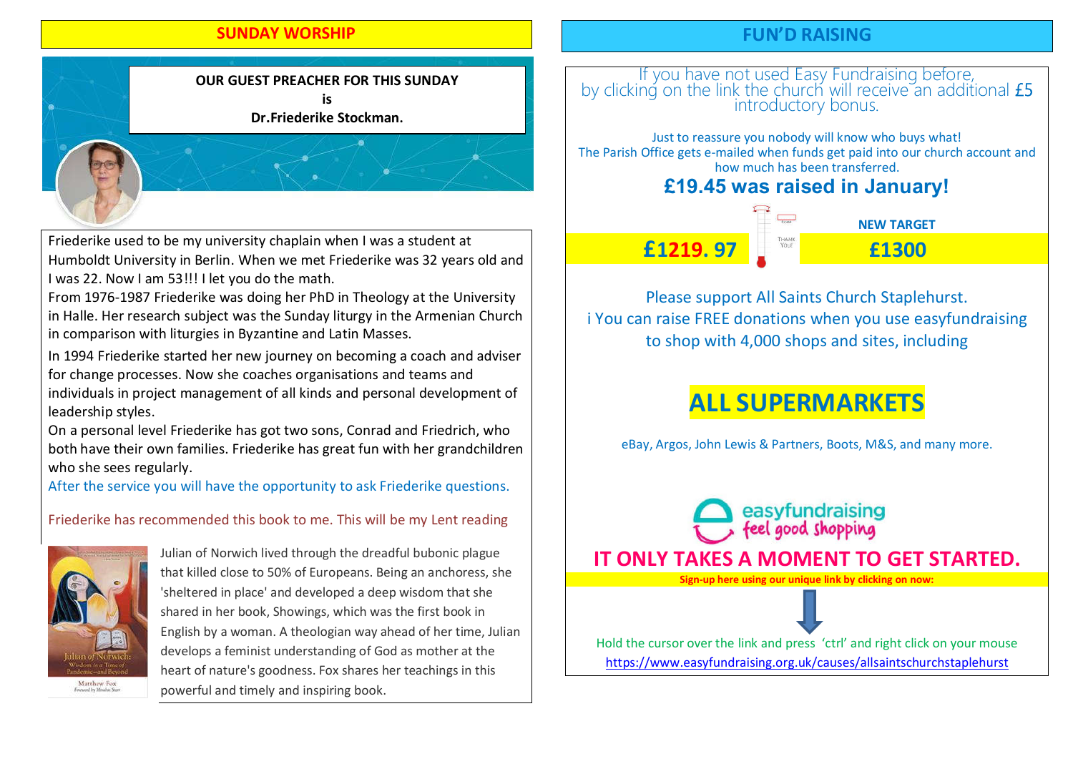#### SUNDAY WORSHIP

#### FUN'D RAISING



Friederike used to be my university chaplain when I was a student at Humboldt University in Berlin. When we met Friederike was 32 years old and I was 22. Now I am 53!!! I let you do the math.

From 1976-1987 Friederike was doing her PhD in Theology at the University in Halle. Her research subject was the Sunday liturgy in the Armenian Church in comparison with liturgies in Byzantine and Latin Masses.

In 1994 Friederike started her new journey on becoming a coach and adviser for change processes. Now she coaches organisations and teams and individuals in project management of all kinds and personal development of leadership styles.

On a personal level Friederike has got two sons, Conrad and Friedrich, who both have their own families. Friederike has great fun with her grandchildren who she sees regularly.

After the service you will have the opportunity to ask Friederike questions.

Friederike has recommended this book to me. This will be my Lent reading



Julian of Norwich lived through the dreadful bubonic plague that killed close to 50% of Europeans. Being an anchoress, she 'sheltered in place' and developed a deep wisdom that she shared in her book, Showings, which was the first book in English by a woman. A theologian way ahead of her time, Julian develops a feminist understanding of God as mother at the heart of nature's goodness. Fox shares her teachings in this powerful and timely and inspiring book.

# If you have not used Easy Fundraising before,<br>by clicking on the link the church will receive an additional £5 introductory bonus.

Just to reassure you nobody will know who buys what! The Parish Office gets e-mailed when funds get paid into our church account and how much has been transferred.

## **£19.45 was raised in January!**



Please support All Saints Church Staplehurst. i You can raise FREE donations when you use easyfundraising to shop with 4,000 shops and sites, including

# ALL SUPERMARKETS

eBay, Argos, John Lewis & Partners, Boots, M&S, and many more.

easyfundraising<br>feel good shopping IT ONLY TAKES A MOMENT TO GET STARTED. Sign-up here using our unique link by clicking on now: Hold the cursor over the link and press 'ctrl' and right click on your mouse

https://www.easyfundraising.org.uk/causes/allsaintschurchstaplehurst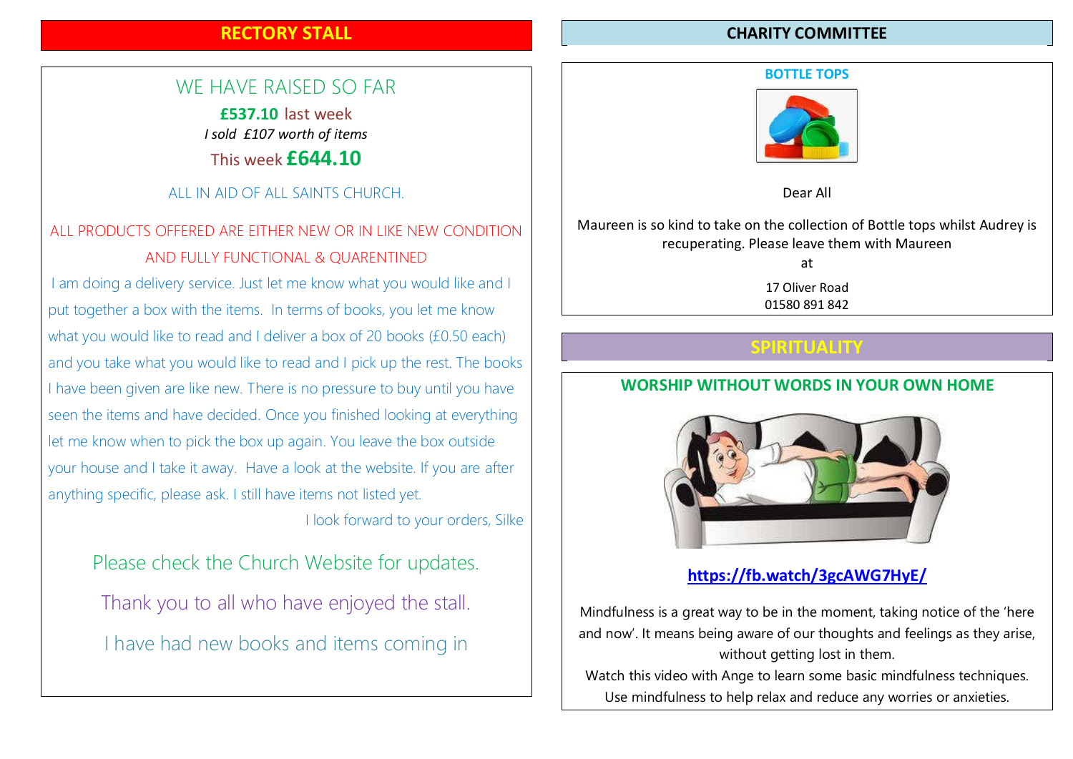### RECTORY STALL

## WE HAVE RAISED SO FAR

£537.10 last week I sold £107 worth of items This week £644.10

#### ALL IN AID OF ALL SAINTS CHURCH.

## ALL PRODUCTS OFFERED ARE EITHER NEW OR IN LIKE NEW CONDITION AND FULLY FUNCTIONAL & QUARENTINED

I am doing a delivery service. Just let me know what you would like and I put together a box with the items. In terms of books, you let me know what you would like to read and I deliver a box of 20 books (£0.50 each) and you take what you would like to read and I pick up the rest. The books I have been given are like new. There is no pressure to buy until you have seen the items and have decided. Once you finished looking at everything let me know when to pick the box up again. You leave the box outside your house and I take it away. Have a look at the website. If you are after anything specific, please ask. I still have items not listed yet.

I look forward to your orders, Silke

Please check the Church Website for updates. Thank you to all who have enjoyed the stall. I have had new books and items coming in

#### CHARITY COMMITTEE

#### BOTTLE TOPS



Dear All

#### Maureen is so kind to take on the collection of Bottle tops whilst Audrey is recuperating. Please leave them with Maureen

at

17 Oliver Road 01580 891 842

#### SPIRITUALITY

### WORSHIP WITHOUT WORDS IN YOUR OWN HOME



### https://fb.watch/3gcAWG7HyE/

Mindfulness is a great way to be in the moment, taking notice of the 'here and now'. It means being aware of our thoughts and feelings as they arise, without getting lost in them.

Watch this video with Ange to learn some basic mindfulness techniques. Use mindfulness to help relax and reduce any worries or anxieties.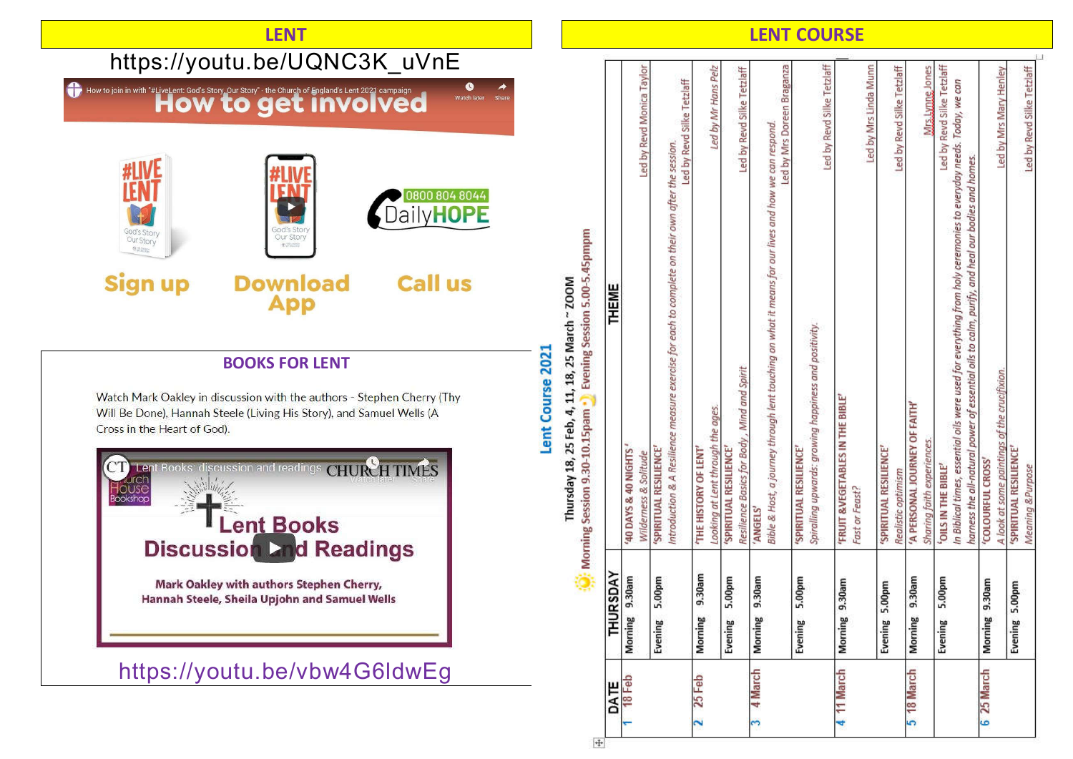

 $\ddot{\mathrm{+}}$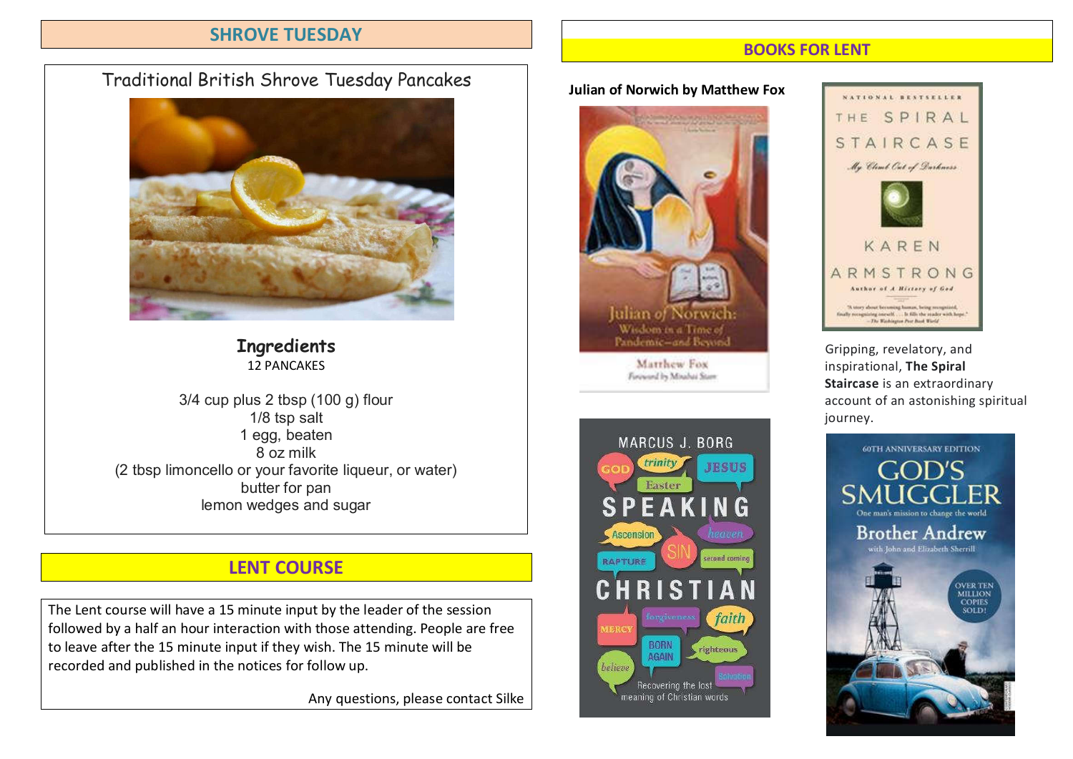### SHROVE TUESDAY

# Traditional British Shrove Tuesday Pancakes



**Ingredients** 12 PANCAKES

3/4 cup plus 2 tbsp (100 g) flour 1/8 tsp salt 1 egg, beaten 8 oz milk (2 tbsp limoncello or your favorite liqueur, or water) butter for pan lemon wedges and sugar

# LENT COURSE

The Lent course will have a 15 minute input by the leader of the session followed by a half an hour interaction with those attending. People are free to leave after the 15 minute input if they wish. The 15 minute will be recorded and published in the notices for follow up.

Any questions, please contact Silke

### BOOKS FOR LENT

Julian of Norwich by Matthew Fox







Pandemic-and Beyond Gripping, revelatory, and<br>Matthew Fox discovering inspirational The Spiral **Matthew Fox**<br> **inspirational, The Spiral** Staircase is an extraordinary account of an astonishing spiritual journey.